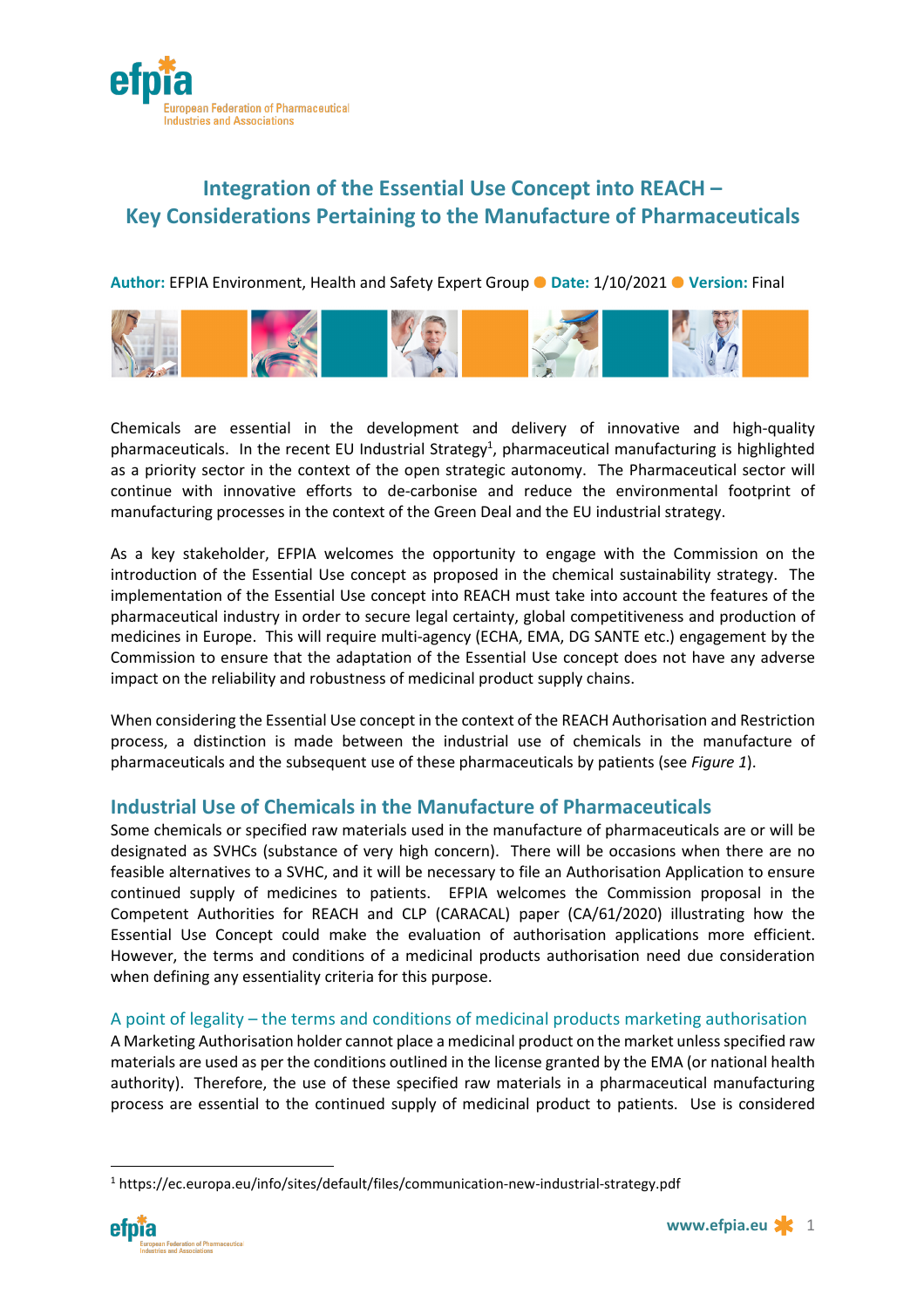

# **Integration of the Essential Use Concept into REACH – Key Considerations Pertaining to the Manufacture of Pharmaceuticals**

**Author:** EFPIA Environment, Health and Safety Expert Group **Date:** 1/10/2021 **Version:** Final



Chemicals are essential in the development and delivery of innovative and high-quality pharmaceuticals. In the recent EU Industrial Strategy<sup>1</sup>, pharmaceutical manufacturing is highlighted as a priority sector in the context of the open strategic autonomy. The Pharmaceutical sector will continue with innovative efforts to de-carbonise and reduce the environmental footprint of manufacturing processes in the context of the Green Deal and the EU industrial strategy.

As a key stakeholder, EFPIA welcomes the opportunity to engage with the Commission on the introduction of the Essential Use concept as proposed in the chemical sustainability strategy. The implementation of the Essential Use concept into REACH must take into account the features of the pharmaceutical industry in order to secure legal certainty, global competitiveness and production of medicines in Europe. This will require multi-agency (ECHA, EMA, DG SANTE etc.) engagement by the Commission to ensure that the adaptation of the Essential Use concept does not have any adverse impact on the reliability and robustness of medicinal product supply chains.

When considering the Essential Use concept in the context of the REACH Authorisation and Restriction process, a distinction is made between the industrial use of chemicals in the manufacture of pharmaceuticals and the subsequent use of these pharmaceuticals by patients (see *Figure 1*).

# **Industrial Use of Chemicals in the Manufacture of Pharmaceuticals**

Some chemicals or specified raw materials used in the manufacture of pharmaceuticals are or will be designated as SVHCs (substance of very high concern). There will be occasions when there are no feasible alternatives to a SVHC, and it will be necessary to file an Authorisation Application to ensure continued supply of medicines to patients. EFPIA welcomes the Commission proposal in the Competent Authorities for REACH and CLP (CARACAL) paper (CA/61/2020) illustrating how the Essential Use Concept could make the evaluation of authorisation applications more efficient. However, the terms and conditions of a medicinal products authorisation need due consideration when defining any essentiality criteria for this purpose.

# A point of legality – the terms and conditions of medicinal products marketing authorisation

A Marketing Authorisation holder cannot place a medicinal product on the market unless specified raw materials are used as per the conditions outlined in the license granted by the EMA (or national health authority). Therefore, the use of these specified raw materials in a pharmaceutical manufacturing process are essential to the continued supply of medicinal product to patients. Use is considered

 <sup>1</sup> https://ec.europa.eu/info/sites/default/files/communication-new-industrial-strategy.pdf

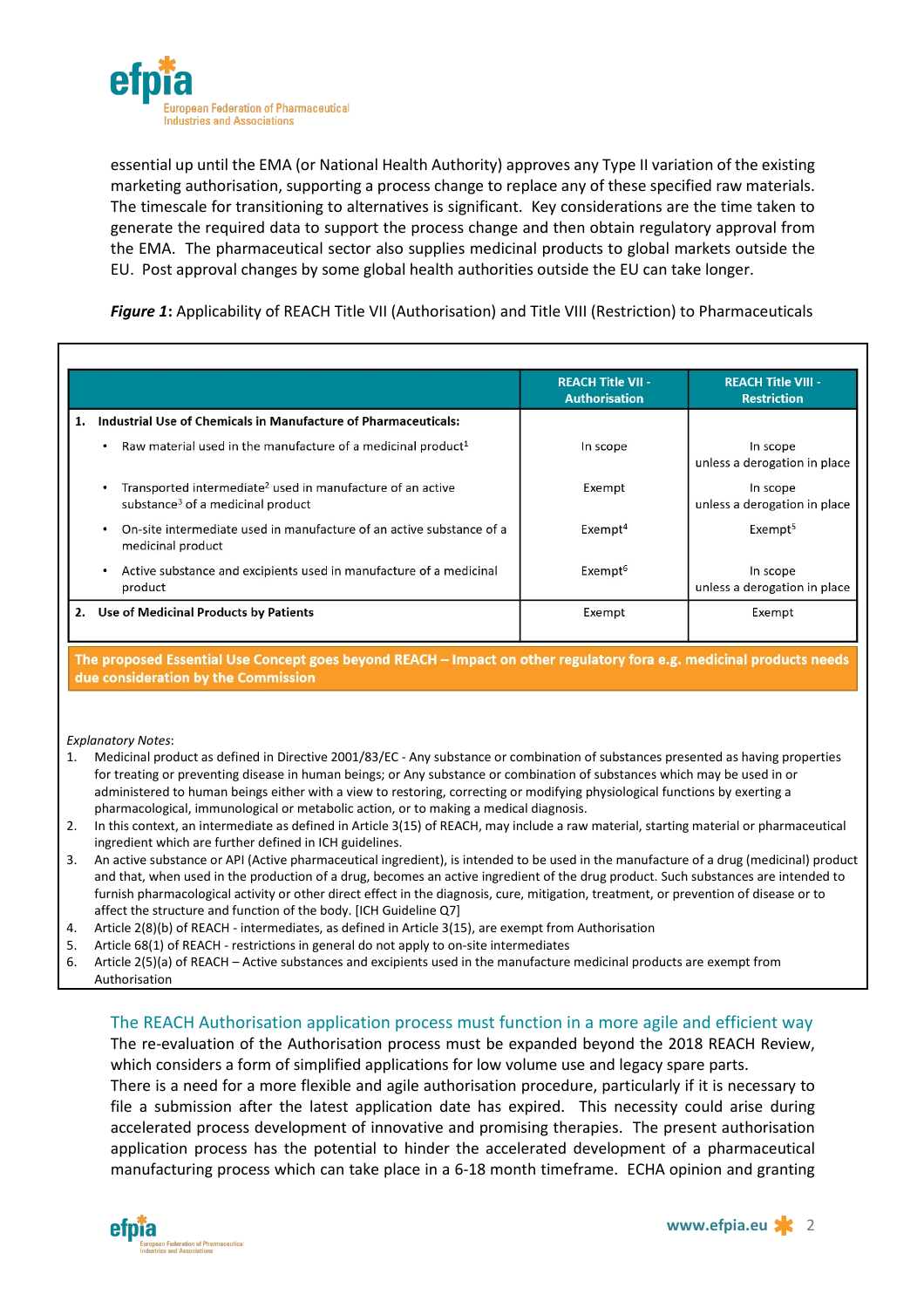

essential up until the EMA (or National Health Authority) approves any Type II variation of the existing marketing authorisation, supporting a process change to replace any of these specified raw materials. The timescale for transitioning to alternatives is significant. Key considerations are the time taken to generate the required data to support the process change and then obtain regulatory approval from the EMA. The pharmaceutical sector also supplies medicinal products to global markets outside the EU. Post approval changes by some global health authorities outside the EU can take longer.

### *Figure 1***:** Applicability of REACH Title VII (Authorisation) and Title VIII (Restriction) to Pharmaceuticals

|                                                                                                                                      | <b>REACH Title VII -</b><br><b>Authorisation</b> | <b>REACH Title VIII -</b><br><b>Restriction</b> |
|--------------------------------------------------------------------------------------------------------------------------------------|--------------------------------------------------|-------------------------------------------------|
| Industrial Use of Chemicals in Manufacture of Pharmaceuticals:                                                                       |                                                  |                                                 |
| Raw material used in the manufacture of a medicinal product <sup>1</sup><br>$\bullet$                                                | In scope                                         | In scope<br>unless a derogation in place        |
| Transported intermediate <sup>2</sup> used in manufacture of an active<br>$\bullet$<br>substance <sup>3</sup> of a medicinal product | Exempt                                           | In scope<br>unless a derogation in place        |
| On-site intermediate used in manufacture of an active substance of a<br>$\bullet$<br>medicinal product                               | Exempt <sup>4</sup>                              | Exempt <sup>5</sup>                             |
| Active substance and excipients used in manufacture of a medicinal<br>$\bullet$<br>product                                           | Exempt <sup>6</sup>                              | In scope<br>unless a derogation in place        |
| Use of Medicinal Products by Patients                                                                                                | Exempt                                           | Exempt                                          |

The proposed Essential Use Concept goes beyond REACH - Impact on other regulatory fora e.g. medicinal products needs due consideration by the Commission

#### *Explanatory Notes*:

- 1. Medicinal product as defined in Directive 2001/83/EC Any substance or combination of substances presented as having properties for treating or preventing disease in human beings; or Any substance or combination of substances which may be used in or administered to human beings either with a view to restoring, correcting or modifying physiological functions by exerting a pharmacological, immunological or metabolic action, or to making a medical diagnosis.
- 2. In this context, an intermediate as defined in Article 3(15) of REACH, may include a raw material, starting material or pharmaceutical ingredient which are further defined in ICH guidelines.
- 3. An active substance or API (Active pharmaceutical ingredient), is intended to be used in the manufacture of a drug (medicinal) product and that, when used in the production of a drug, becomes an active ingredient of the drug product. Such substances are intended to furnish pharmacological activity or other direct effect in the diagnosis, cure, mitigation, treatment, or prevention of disease or to affect the structure and function of the body. [ICH Guideline Q7]
- 4. Article 2(8)(b) of REACH intermediates, as defined in Article 3(15), are exempt from Authorisation
- 5. Article 68(1) of REACH restrictions in general do not apply to on-site intermediates
- 6. Article 2(5)(a) of REACH Active substances and excipients used in the manufacture medicinal products are exempt from Authorisation

# The REACH Authorisation application process must function in a more agile and efficient way

The re-evaluation of the Authorisation process must be expanded beyond the 2018 REACH Review, which considers a form of simplified applications for low volume use and legacy spare parts.

There is a need for a more flexible and agile authorisation procedure, particularly if it is necessary to file a submission after the latest application date has expired. This necessity could arise during accelerated process development of innovative and promising therapies. The present authorisation application process has the potential to hinder the accelerated development of a pharmaceutical manufacturing process which can take place in a 6-18 month timeframe. ECHA opinion and granting